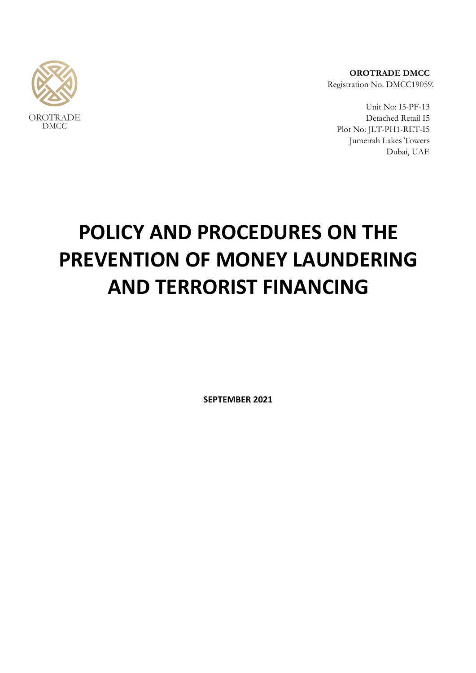

**OROTRADE DMCC** Registration No. DMCC190592

Unit No: I5-PF-13 Detached Retail I5 Plot No: JLT-PH1-RET-I5 Jumeirah Lakes Towers Dubai, UAE

# **POLICY AND PROCEDURES ON THE PREVENTION OF MONEY LAUNDERING AND TERRORIST FINANCING**

**SEPTEMBER 2021**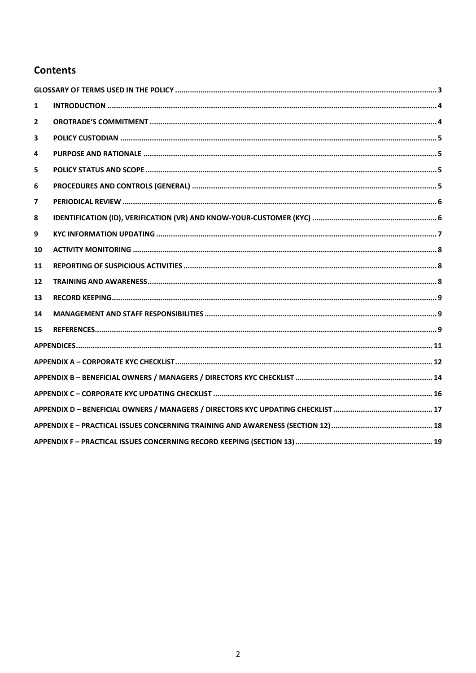## **Contents**

| 1            |  |  |  |
|--------------|--|--|--|
| $\mathbf{2}$ |  |  |  |
| 3            |  |  |  |
| 4            |  |  |  |
| 5.           |  |  |  |
| 6            |  |  |  |
| 7            |  |  |  |
| 8            |  |  |  |
| 9            |  |  |  |
| 10           |  |  |  |
| 11           |  |  |  |
| 12           |  |  |  |
| 13           |  |  |  |
| 14           |  |  |  |
| 15           |  |  |  |
|              |  |  |  |
|              |  |  |  |
|              |  |  |  |
|              |  |  |  |
|              |  |  |  |
|              |  |  |  |
|              |  |  |  |
|              |  |  |  |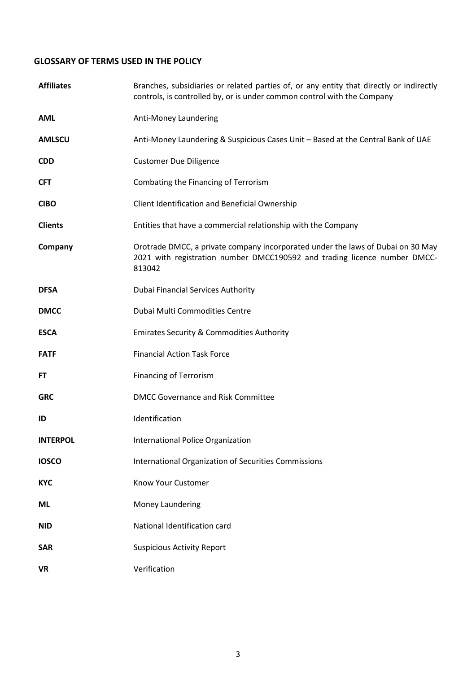## <span id="page-2-0"></span>**GLOSSARY OF TERMS USED IN THE POLICY**

| <b>Affiliates</b> | Branches, subsidiaries or related parties of, or any entity that directly or indirectly<br>controls, is controlled by, or is under common control with the Company     |
|-------------------|------------------------------------------------------------------------------------------------------------------------------------------------------------------------|
| <b>AML</b>        | Anti-Money Laundering                                                                                                                                                  |
| <b>AMLSCU</b>     | Anti-Money Laundering & Suspicious Cases Unit - Based at the Central Bank of UAE                                                                                       |
| <b>CDD</b>        | <b>Customer Due Diligence</b>                                                                                                                                          |
| <b>CFT</b>        | Combating the Financing of Terrorism                                                                                                                                   |
| <b>CIBO</b>       | Client Identification and Beneficial Ownership                                                                                                                         |
| <b>Clients</b>    | Entities that have a commercial relationship with the Company                                                                                                          |
| Company           | Orotrade DMCC, a private company incorporated under the laws of Dubai on 30 May<br>2021 with registration number DMCC190592 and trading licence number DMCC-<br>813042 |
| <b>DFSA</b>       | Dubai Financial Services Authority                                                                                                                                     |
| <b>DMCC</b>       | Dubai Multi Commodities Centre                                                                                                                                         |
| <b>ESCA</b>       | <b>Emirates Security &amp; Commodities Authority</b>                                                                                                                   |
| <b>FATF</b>       | <b>Financial Action Task Force</b>                                                                                                                                     |
| <b>FT</b>         | <b>Financing of Terrorism</b>                                                                                                                                          |
| <b>GRC</b>        | <b>DMCC Governance and Risk Committee</b>                                                                                                                              |
| ID                | Identification                                                                                                                                                         |
| <b>INTERPOL</b>   | International Police Organization                                                                                                                                      |
| <b>IOSCO</b>      | <b>International Organization of Securities Commissions</b>                                                                                                            |
| <b>KYC</b>        | Know Your Customer                                                                                                                                                     |
| ML                | Money Laundering                                                                                                                                                       |
| <b>NID</b>        | National Identification card                                                                                                                                           |
| <b>SAR</b>        | <b>Suspicious Activity Report</b>                                                                                                                                      |
| <b>VR</b>         | Verification                                                                                                                                                           |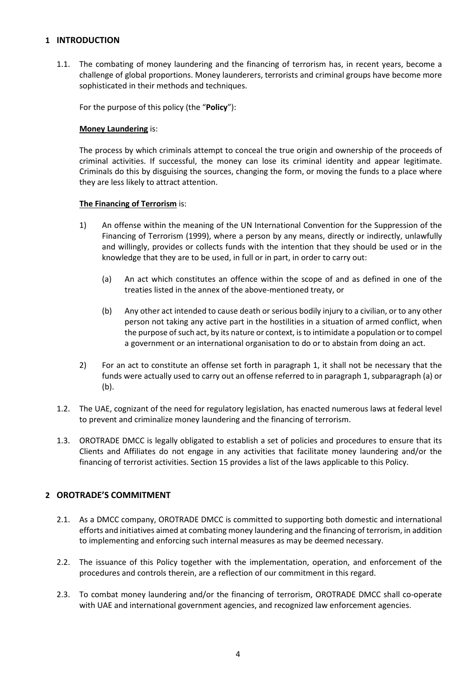## <span id="page-3-0"></span>**1 INTRODUCTION**

1.1. The combating of money laundering and the financing of terrorism has, in recent years, become a challenge of global proportions. Money launderers, terrorists and criminal groups have become more sophisticated in their methods and techniques.

For the purpose of this policy (the "**Policy**"):

#### **Money Laundering** is:

The process by which criminals attempt to conceal the true origin and ownership of the proceeds of criminal activities. If successful, the money can lose its criminal identity and appear legitimate. Criminals do this by disguising the sources, changing the form, or moving the funds to a place where they are less likely to attract attention.

## **The Financing of Terrorism** is:

- 1) An offense within the meaning of the UN International Convention for the Suppression of the Financing of Terrorism (1999), where a person by any means, directly or indirectly, unlawfully and willingly, provides or collects funds with the intention that they should be used or in the knowledge that they are to be used, in full or in part, in order to carry out:
	- (a) An act which constitutes an offence within the scope of and as defined in one of the treaties listed in the annex of the above-mentioned treaty, or
	- (b) Any other act intended to cause death or serious bodily injury to a civilian, or to any other person not taking any active part in the hostilities in a situation of armed conflict, when the purpose of such act, by its nature or context, is to intimidate a population or to compel a government or an international organisation to do or to abstain from doing an act.
- 2) For an act to constitute an offense set forth in paragraph 1, it shall not be necessary that the funds were actually used to carry out an offense referred to in paragraph 1, subparagraph (a) or (b).
- 1.2. The UAE, cognizant of the need for regulatory legislation, has enacted numerous laws at federal level to prevent and criminalize money laundering and the financing of terrorism.
- 1.3. OROTRADE DMCC is legally obligated to establish a set of policies and procedures to ensure that its Clients and Affiliates do not engage in any activities that facilitate money laundering and/or the financing of terrorist activities. Section 15 provides a list of the laws applicable to this Policy.

## <span id="page-3-1"></span>**2 OROTRADE'S COMMITMENT**

- 2.1. As a DMCC company, OROTRADE DMCC is committed to supporting both domestic and international efforts and initiatives aimed at combating money laundering and the financing of terrorism, in addition to implementing and enforcing such internal measures as may be deemed necessary.
- 2.2. The issuance of this Policy together with the implementation, operation, and enforcement of the procedures and controls therein, are a reflection of our commitment in this regard.
- 2.3. To combat money laundering and/or the financing of terrorism, OROTRADE DMCC shall co-operate with UAE and international government agencies, and recognized law enforcement agencies.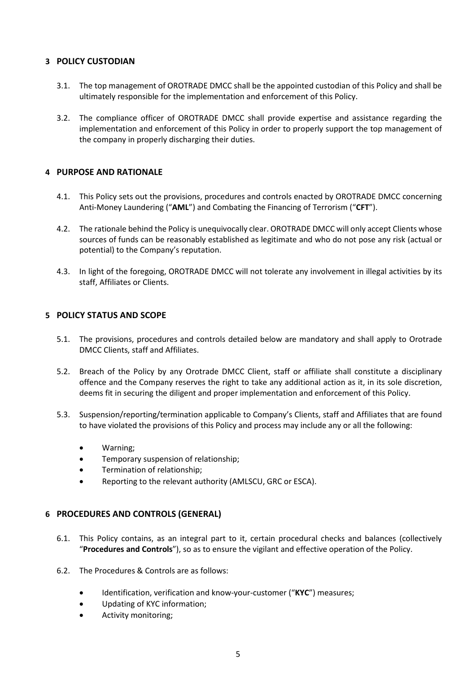## <span id="page-4-0"></span>**3 POLICY CUSTODIAN**

- 3.1. The top management of OROTRADE DMCC shall be the appointed custodian of this Policy and shall be ultimately responsible for the implementation and enforcement of this Policy.
- 3.2. The compliance officer of OROTRADE DMCC shall provide expertise and assistance regarding the implementation and enforcement of this Policy in order to properly support the top management of the company in properly discharging their duties.

## <span id="page-4-1"></span>**4 PURPOSE AND RATIONALE**

- 4.1. This Policy sets out the provisions, procedures and controls enacted by OROTRADE DMCC concerning Anti-Money Laundering ("**AML**") and Combating the Financing of Terrorism ("**CFT**").
- 4.2. The rationale behind the Policy is unequivocally clear. OROTRADE DMCC will only accept Clients whose sources of funds can be reasonably established as legitimate and who do not pose any risk (actual or potential) to the Company's reputation.
- 4.3. In light of the foregoing, OROTRADE DMCC will not tolerate any involvement in illegal activities by its staff, Affiliates or Clients.

## <span id="page-4-2"></span>**5 POLICY STATUS AND SCOPE**

- 5.1. The provisions, procedures and controls detailed below are mandatory and shall apply to Orotrade DMCC Clients, staff and Affiliates.
- 5.2. Breach of the Policy by any Orotrade DMCC Client, staff or affiliate shall constitute a disciplinary offence and the Company reserves the right to take any additional action as it, in its sole discretion, deems fit in securing the diligent and proper implementation and enforcement of this Policy.
- 5.3. Suspension/reporting/termination applicable to Company's Clients, staff and Affiliates that are found to have violated the provisions of this Policy and process may include any or all the following:
	- Warning;
	- Temporary suspension of relationship;
	- Termination of relationship;
	- Reporting to the relevant authority (AMLSCU, GRC or ESCA).

## <span id="page-4-3"></span>**6 PROCEDURES AND CONTROLS (GENERAL)**

- 6.1. This Policy contains, as an integral part to it, certain procedural checks and balances (collectively "**Procedures and Controls**"), so as to ensure the vigilant and effective operation of the Policy.
- 6.2. The Procedures & Controls are as follows:
	- Identification, verification and know-your-customer ("**KYC**") measures;
	- Updating of KYC information;
	- Activity monitoring;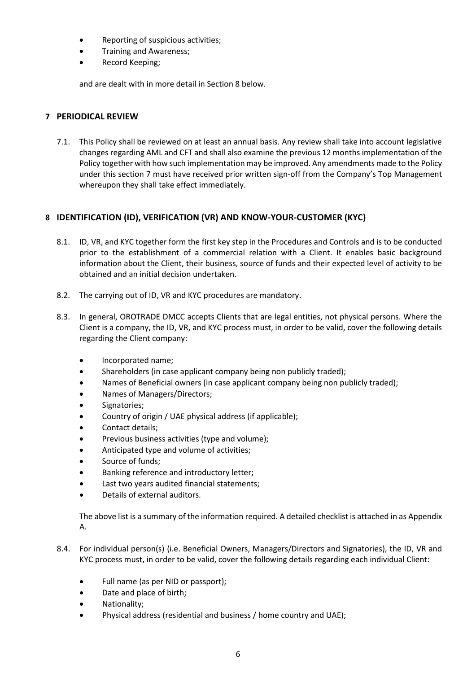- Reporting of suspicious activities;
- Training and Awareness;
- Record Keeping;

and are dealt with in more detail in Section 8 below.

## <span id="page-5-0"></span>**7 PERIODICAL REVIEW**

7.1. This Policy shall be reviewed on at least an annual basis. Any review shall take into account legislative changes regarding AML and CFT and shall also examine the previous 12 months implementation of the Policy together with how such implementation may be improved. Any amendments made to the Policy under this section 7 must have received prior written sign-off from the Company's Top Management whereupon they shall take effect immediately.

## <span id="page-5-1"></span>**8 IDENTIFICATION (ID), VERIFICATION (VR) AND KNOW-YOUR-CUSTOMER (KYC)**

- 8.1. ID, VR, and KYC together form the first key step in the Procedures and Controls and is to be conducted prior to the establishment of a commercial relation with a Client. It enables basic background information about the Client, their business, source of funds and their expected level of activity to be obtained and an initial decision undertaken.
- 8.2. The carrying out of ID, VR and KYC procedures are mandatory.
- 8.3. In general, OROTRADE DMCC accepts Clients that are legal entities, not physical persons. Where the Client is a company, the ID, VR, and KYC process must, in order to be valid, cover the following details regarding the Client company:
	- Incorporated name;
	- Shareholders (in case applicant company being non publicly traded);
	- Names of Beneficial owners (in case applicant company being non publicly traded);
	- Names of Managers/Directors;
	- Signatories;
	- Country of origin / UAE physical address (if applicable);
	- Contact details;
	- Previous business activities (type and volume);
	- Anticipated type and volume of activities;
	- Source of funds:
	- Banking reference and introductory letter;
	- Last two years audited financial statements;
	- Details of external auditors.

The above list is a summary of the information required. A detailed checklist is attached in as Appendix A.

- 8.4. For individual person(s) (i.e. Beneficial Owners, Managers/Directors and Signatories), the ID, VR and KYC process must, in order to be valid, cover the following details regarding each individual Client:
	- Full name (as per NID or passport);
	- Date and place of birth;
	- Nationality;
	- Physical address (residential and business / home country and UAE);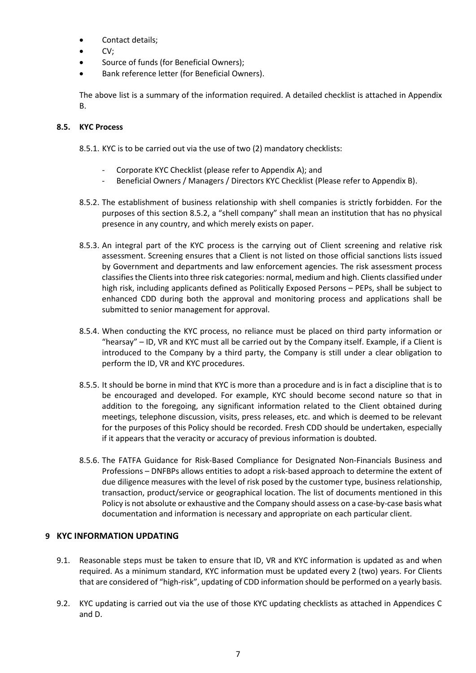- Contact details;
- $CV:$
- Source of funds (for Beneficial Owners);
- Bank reference letter (for Beneficial Owners).

The above list is a summary of the information required. A detailed checklist is attached in Appendix B.

## **8.5. KYC Process**

8.5.1. KYC is to be carried out via the use of two (2) mandatory checklists:

- Corporate KYC Checklist (please refer to Appendix A); and
- Beneficial Owners / Managers / Directors KYC Checklist (Please refer to Appendix B).
- 8.5.2. The establishment of business relationship with shell companies is strictly forbidden. For the purposes of this section 8.5.2, a "shell company" shall mean an institution that has no physical presence in any country, and which merely exists on paper.
- 8.5.3. An integral part of the KYC process is the carrying out of Client screening and relative risk assessment. Screening ensures that a Client is not listed on those official sanctions lists issued by Government and departments and law enforcement agencies. The risk assessment process classifies the Clientsinto three risk categories: normal, medium and high. Clients classified under high risk, including applicants defined as Politically Exposed Persons – PEPs, shall be subject to enhanced CDD during both the approval and monitoring process and applications shall be submitted to senior management for approval.
- 8.5.4. When conducting the KYC process, no reliance must be placed on third party information or "hearsay" – ID, VR and KYC must all be carried out by the Company itself. Example, if a Client is introduced to the Company by a third party, the Company is still under a clear obligation to perform the ID, VR and KYC procedures.
- 8.5.5. It should be borne in mind that KYC is more than a procedure and is in fact a discipline that is to be encouraged and developed. For example, KYC should become second nature so that in addition to the foregoing, any significant information related to the Client obtained during meetings, telephone discussion, visits, press releases, etc. and which is deemed to be relevant for the purposes of this Policy should be recorded. Fresh CDD should be undertaken, especially if it appears that the veracity or accuracy of previous information is doubted.
- 8.5.6. The FATFA Guidance for Risk-Based Compliance for Designated Non-Financials Business and Professions – DNFBPs allows entities to adopt a risk-based approach to determine the extent of due diligence measures with the level of risk posed by the customer type, business relationship, transaction, product/service or geographical location. The list of documents mentioned in this Policy is not absolute or exhaustive and the Company should assess on a case-by-case basis what documentation and information is necessary and appropriate on each particular client.

## <span id="page-6-0"></span>**9 KYC INFORMATION UPDATING**

- 9.1. Reasonable steps must be taken to ensure that ID, VR and KYC information is updated as and when required. As a minimum standard, KYC information must be updated every 2 (two) years. For Clients that are considered of "high-risk", updating of CDD information should be performed on a yearly basis.
- 9.2. KYC updating is carried out via the use of those KYC updating checklists as attached in Appendices C and D.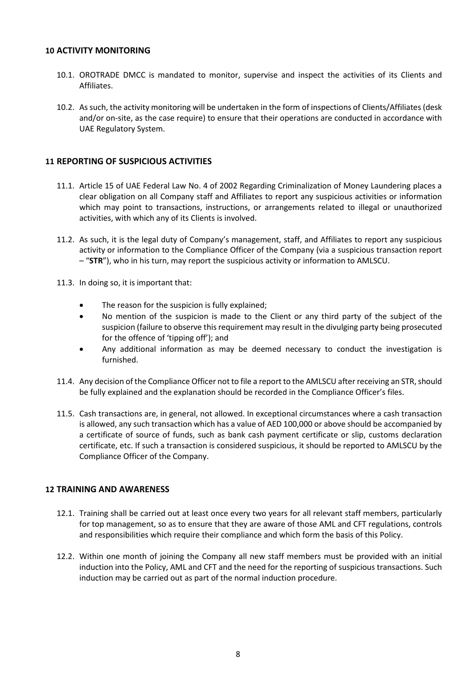#### <span id="page-7-0"></span>**10 ACTIVITY MONITORING**

- 10.1. OROTRADE DMCC is mandated to monitor, supervise and inspect the activities of its Clients and Affiliates.
- 10.2. As such, the activity monitoring will be undertaken in the form of inspections of Clients/Affiliates (desk and/or on-site, as the case require) to ensure that their operations are conducted in accordance with UAE Regulatory System.

## <span id="page-7-1"></span>**11 REPORTING OF SUSPICIOUS ACTIVITIES**

- 11.1. Article 15 of UAE Federal Law No. 4 of 2002 Regarding Criminalization of Money Laundering places a clear obligation on all Company staff and Affiliates to report any suspicious activities or information which may point to transactions, instructions, or arrangements related to illegal or unauthorized activities, with which any of its Clients is involved.
- 11.2. As such, it is the legal duty of Company's management, staff, and Affiliates to report any suspicious activity or information to the Compliance Officer of the Company (via a suspicious transaction report – "**STR**"), who in his turn, may report the suspicious activity or information to AMLSCU.
- 11.3. In doing so, it is important that:
	- The reason for the suspicion is fully explained;
	- No mention of the suspicion is made to the Client or any third party of the subject of the suspicion (failure to observe this requirement may result in the divulging party being prosecuted for the offence of 'tipping off'); and
	- Any additional information as may be deemed necessary to conduct the investigation is furnished.
- 11.4. Any decision of the Compliance Officer not to file a report to the AMLSCU after receiving an STR, should be fully explained and the explanation should be recorded in the Compliance Officer's files.
- 11.5. Cash transactions are, in general, not allowed. In exceptional circumstances where a cash transaction is allowed, any such transaction which has a value of AED 100,000 or above should be accompanied by a certificate of source of funds, such as bank cash payment certificate or slip, customs declaration certificate, etc. If such a transaction is considered suspicious, it should be reported to AMLSCU by the Compliance Officer of the Company.

## <span id="page-7-2"></span>**12 TRAINING AND AWARENESS**

- 12.1. Training shall be carried out at least once every two years for all relevant staff members, particularly for top management, so as to ensure that they are aware of those AML and CFT regulations, controls and responsibilities which require their compliance and which form the basis of this Policy.
- 12.2. Within one month of joining the Company all new staff members must be provided with an initial induction into the Policy, AML and CFT and the need for the reporting of suspicious transactions. Such induction may be carried out as part of the normal induction procedure.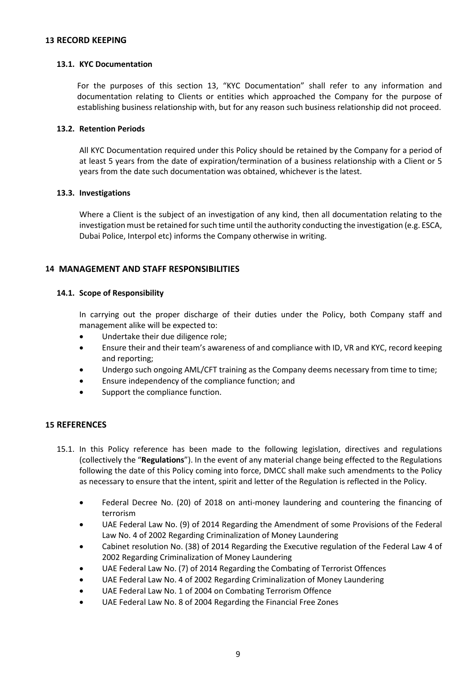#### <span id="page-8-0"></span>**13 RECORD KEEPING**

#### **13.1. KYC Documentation**

For the purposes of this section 13, "KYC Documentation" shall refer to any information and documentation relating to Clients or entities which approached the Company for the purpose of establishing business relationship with, but for any reason such business relationship did not proceed.

#### **13.2. Retention Periods**

All KYC Documentation required under this Policy should be retained by the Company for a period of at least 5 years from the date of expiration/termination of a business relationship with a Client or 5 years from the date such documentation was obtained, whichever is the latest.

#### **13.3. Investigations**

Where a Client is the subject of an investigation of any kind, then all documentation relating to the investigation must be retained for such time until the authority conducting the investigation (e.g. ESCA, Dubai Police, Interpol etc) informs the Company otherwise in writing.

## <span id="page-8-1"></span>**14 MANAGEMENT AND STAFF RESPONSIBILITIES**

#### **14.1. Scope of Responsibility**

In carrying out the proper discharge of their duties under the Policy, both Company staff and management alike will be expected to:

- Undertake their due diligence role;
- Ensure their and their team's awareness of and compliance with ID, VR and KYC, record keeping and reporting;
- Undergo such ongoing AML/CFT training as the Company deems necessary from time to time;
- Ensure independency of the compliance function; and
- Support the compliance function.

#### <span id="page-8-2"></span>**15 REFERENCES**

- 15.1. In this Policy reference has been made to the following legislation, directives and regulations (collectively the "**Regulations**"). In the event of any material change being effected to the Regulations following the date of this Policy coming into force, DMCC shall make such amendments to the Policy as necessary to ensure that the intent, spirit and letter of the Regulation is reflected in the Policy.
	- Federal Decree No. (20) of 2018 on anti-money laundering and countering the financing of terrorism
	- UAE Federal Law No. (9) of 2014 Regarding the Amendment of some Provisions of the Federal Law No. 4 of 2002 Regarding Criminalization of Money Laundering
	- Cabinet resolution No. (38) of 2014 Regarding the Executive regulation of the Federal Law 4 of 2002 Regarding Criminalization of Money Laundering
	- UAE Federal Law No. (7) of 2014 Regarding the Combating of Terrorist Offences
	- UAE Federal Law No. 4 of 2002 Regarding Criminalization of Money Laundering
	- UAE Federal Law No. 1 of 2004 on Combating Terrorism Offence
	- UAE Federal Law No. 8 of 2004 Regarding the Financial Free Zones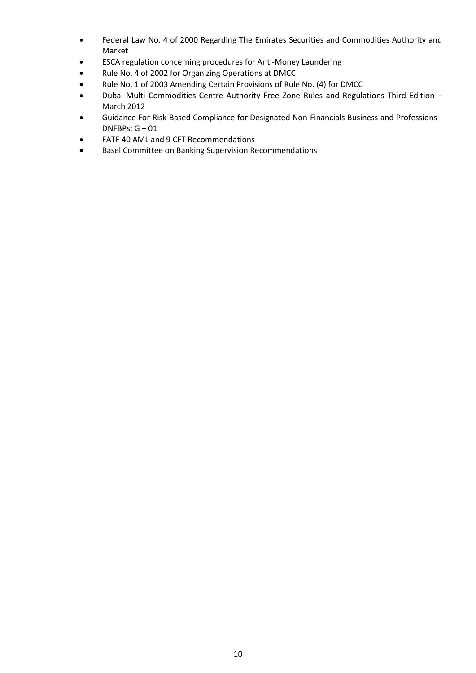- Federal Law No. 4 of 2000 Regarding The Emirates Securities and Commodities Authority and Market
- ESCA regulation concerning procedures for Anti-Money Laundering
- Rule No. 4 of 2002 for Organizing Operations at DMCC
- Rule No. 1 of 2003 Amending Certain Provisions of Rule No. (4) for DMCC
- Dubai Multi Commodities Centre Authority Free Zone Rules and Regulations Third Edition March 2012
- Guidance For Risk-Based Compliance for Designated Non-Financials Business and Professions DNFBPs: G – 01
- FATF 40 AML and 9 CFT Recommendations
- Basel Committee on Banking Supervision Recommendations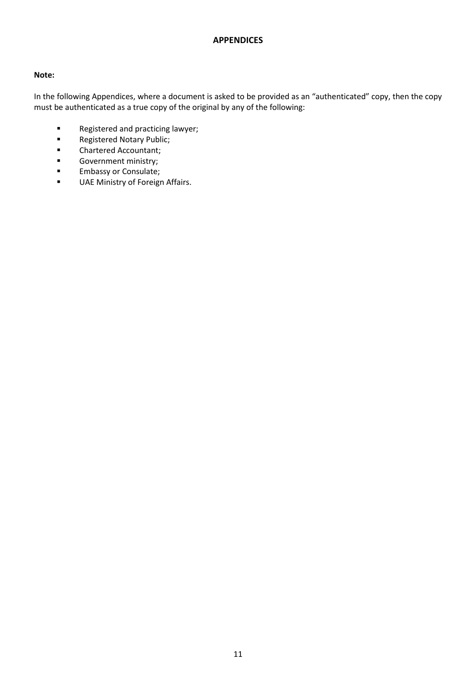## **APPENDICES**

## <span id="page-10-0"></span>**Note:**

In the following Appendices, where a document is asked to be provided as an "authenticated" copy, then the copy must be authenticated as a true copy of the original by any of the following:

- **Registered and practicing lawyer;**<br>**Registered Notary Public:**
- Registered Notary Public;
- **E** Chartered Accountant;
- Government ministry;
- **Embassy or Consulate;**
- **UAE Ministry of Foreign Affairs.**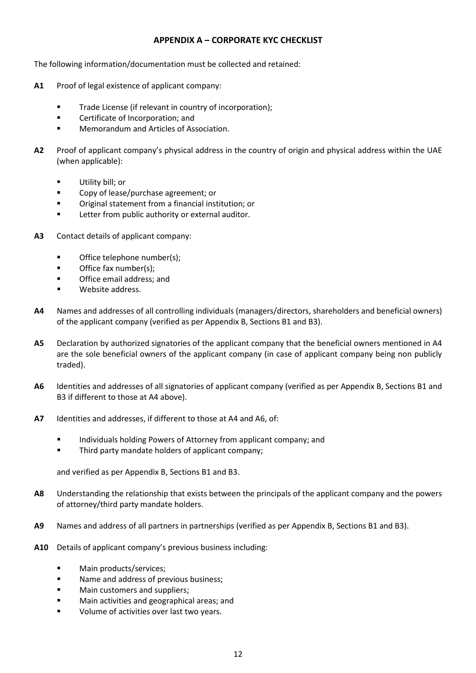## **APPENDIX A – CORPORATE KYC CHECKLIST**

<span id="page-11-0"></span>The following information/documentation must be collected and retained:

- **A1** Proof of legal existence of applicant company:
	- **Trade License (if relevant in country of incorporation);**
	- **EXEC** Certificate of Incorporation; and
	- **Memorandum and Articles of Association.**
- **A2** Proof of applicant company's physical address in the country of origin and physical address within the UAE (when applicable):
	- Utility bill; or
	- **EXECOPY of lease/purchase agreement; or**
	- Original statement from a financial institution; or
	- Letter from public authority or external auditor.
- **A3** Contact details of applicant company:
	- **•** Office telephone number(s);
	- **Office fax number(s):**
	- Office email address; and
	- Website address.
- **A4** Names and addresses of all controlling individuals (managers/directors, shareholders and beneficial owners) of the applicant company (verified as per Appendix B, Sections B1 and B3).
- **A5** Declaration by authorized signatories of the applicant company that the beneficial owners mentioned in A4 are the sole beneficial owners of the applicant company (in case of applicant company being non publicly traded).
- **A6** Identities and addresses of all signatories of applicant company (verified as per Appendix B, Sections B1 and B3 if different to those at A4 above).
- **A7** Identities and addresses, if different to those at A4 and A6, of:
	- Individuals holding Powers of Attorney from applicant company; and
	- **Third party mandate holders of applicant company;**

and verified as per Appendix B, Sections B1 and B3.

- **A8** Understanding the relationship that exists between the principals of the applicant company and the powers of attorney/third party mandate holders.
- **A9** Names and address of all partners in partnerships (verified as per Appendix B, Sections B1 and B3).
- **A10** Details of applicant company's previous business including:
	- **Main products/services;**
	- **Name and address of previous business;**
	- **Main customers and suppliers;**
	- **Nain activities and geographical areas: and**
	- Volume of activities over last two years.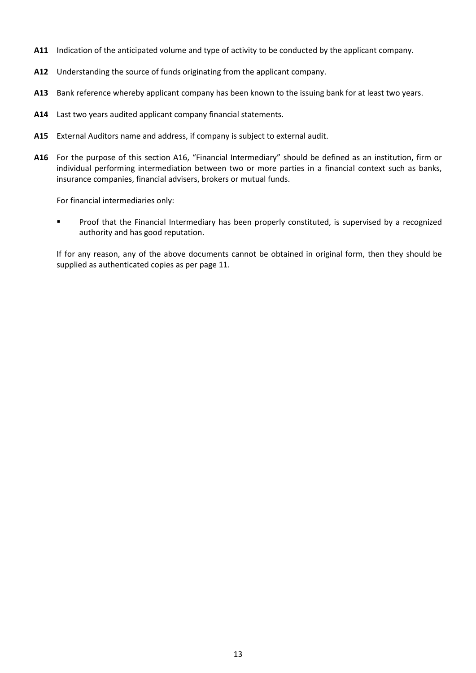- **A11** Indication of the anticipated volume and type of activity to be conducted by the applicant company.
- **A12** Understanding the source of funds originating from the applicant company.
- **A13** Bank reference whereby applicant company has been known to the issuing bank for at least two years.
- **A14** Last two years audited applicant company financial statements.
- **A15** External Auditors name and address, if company is subject to external audit.
- **A16** For the purpose of this section A16, "Financial Intermediary" should be defined as an institution, firm or individual performing intermediation between two or more parties in a financial context such as banks, insurance companies, financial advisers, brokers or mutual funds.

For financial intermediaries only:

**Proof that the Financial Intermediary has been properly constituted, is supervised by a recognized** authority and has good reputation.

If for any reason, any of the above documents cannot be obtained in original form, then they should be supplied as authenticated copies as per page 11.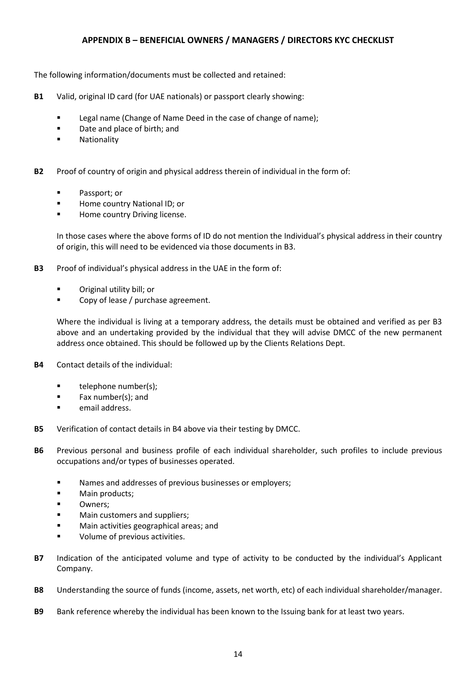## **APPENDIX B – BENEFICIAL OWNERS / MANAGERS / DIRECTORS KYC CHECKLIST**

<span id="page-13-0"></span>The following information/documents must be collected and retained:

- **B1** Valid, original ID card (for UAE nationals) or passport clearly showing:
	- **Example 2** Legal name (Change of Name Deed in the case of change of name);
	- Date and place of birth; and
	- **Nationality**
- **B2** Proof of country of origin and physical address therein of individual in the form of:
	- Passport; or
	- **Home country National ID; or**
	- Home country Driving license.

In those cases where the above forms of ID do not mention the Individual's physical address in their country of origin, this will need to be evidenced via those documents in B3.

- **B3** Proof of individual's physical address in the UAE in the form of:
	- Original utility bill; or
	- **EXECOPY of lease / purchase agreement.**

Where the individual is living at a temporary address, the details must be obtained and verified as per B3 above and an undertaking provided by the individual that they will advise DMCC of the new permanent address once obtained. This should be followed up by the Clients Relations Dept.

- **B4** Contact details of the individual:
	- $\blacksquare$  telephone number(s);
	- $\blacksquare$  Fax number(s); and
	- **E** email address.
- **B5** Verification of contact details in B4 above via their testing by DMCC.
- **B6** Previous personal and business profile of each individual shareholder, such profiles to include previous occupations and/or types of businesses operated.
	- **Names and addresses of previous businesses or employers;**
	- **Main products;**
	- **D** Owners;
	- **Main customers and suppliers;**
	- **Main activities geographical areas; and**
	- Volume of previous activities.
- **B7** Indication of the anticipated volume and type of activity to be conducted by the individual's Applicant Company.
- **B8** Understanding the source of funds (income, assets, net worth, etc) of each individual shareholder/manager.
- **B9** Bank reference whereby the individual has been known to the Issuing bank for at least two years.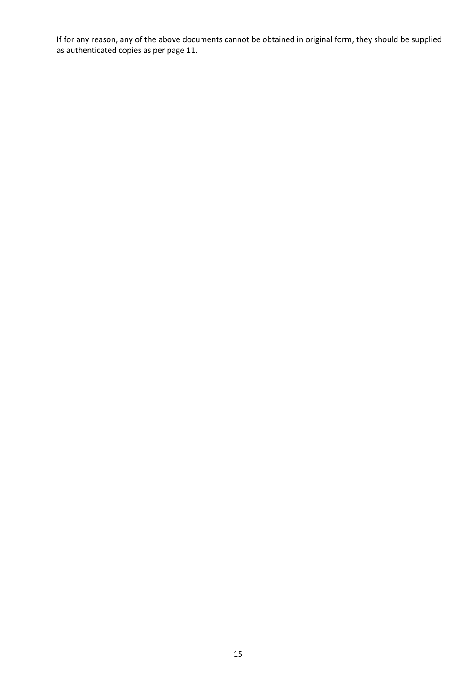If for any reason, any of the above documents cannot be obtained in original form, they should be supplied as authenticated copies as per page 11.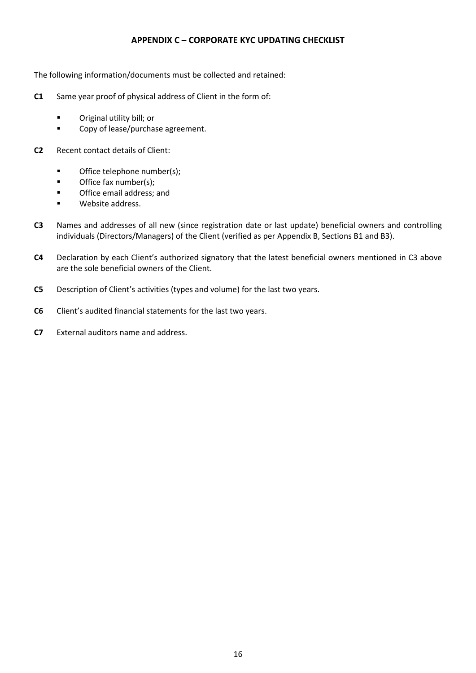## **APPENDIX C – CORPORATE KYC UPDATING CHECKLIST**

<span id="page-15-0"></span>The following information/documents must be collected and retained:

- **C1** Same year proof of physical address of Client in the form of:
	- **C** Original utility bill; or
	- **EXECOPY of lease/purchase agreement.**
- **C2** Recent contact details of Client:
	- **•** Office telephone number(s);
	- **Office fax number(s);**
	- **•** Office email address; and
	- **Website address.**
- **C3** Names and addresses of all new (since registration date or last update) beneficial owners and controlling individuals (Directors/Managers) of the Client (verified as per Appendix B, Sections B1 and B3).
- **C4** Declaration by each Client's authorized signatory that the latest beneficial owners mentioned in C3 above are the sole beneficial owners of the Client.
- **C5** Description of Client's activities (types and volume) for the last two years.
- **C6** Client's audited financial statements for the last two years.
- **C7** External auditors name and address.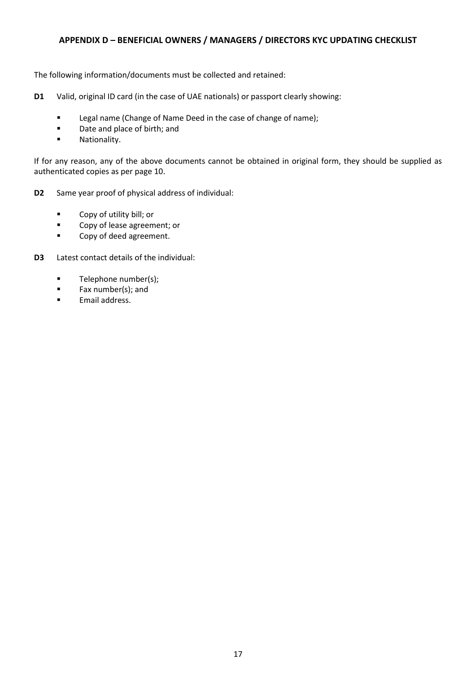## <span id="page-16-0"></span>**APPENDIX D – BENEFICIAL OWNERS / MANAGERS / DIRECTORS KYC UPDATING CHECKLIST**

The following information/documents must be collected and retained:

- **D1** Valid, original ID card (in the case of UAE nationals) or passport clearly showing:
	- **Legal name (Change of Name Deed in the case of change of name);**
	- Date and place of birth; and
	- **Nationality.**

If for any reason, any of the above documents cannot be obtained in original form, they should be supplied as authenticated copies as per page 10.

- **D2** Same year proof of physical address of individual:
	- **Copy of utility bill; or**
	- **Example 20 Copy of lease agreement; or**
	- **Example 2** Copy of deed agreement.
- **D3** Latest contact details of the individual:
	- $\blacksquare$  Telephone number(s);
	- **Fax number(s); and**
	- **Email address.**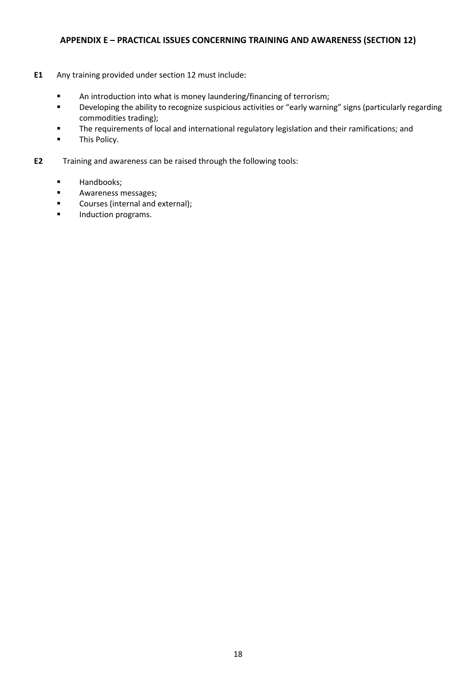## <span id="page-17-0"></span>**APPENDIX E – PRACTICAL ISSUES CONCERNING TRAINING AND AWARENESS (SECTION 12)**

- **E1** Any training provided under section 12 must include:
	- **An introduction into what is money laundering/financing of terrorism;**
	- **•** Developing the ability to recognize suspicious activities or "early warning" signs (particularly regarding commodities trading);
	- **The requirements of local and international regulatory legislation and their ramifications; and**
	- **This Policy.**
- **E2** Training and awareness can be raised through the following tools:
	- **Handbooks;**
	- **Awareness messages;**
	- **EXECOURDER** Courses (internal and external);
	- **Induction programs.**